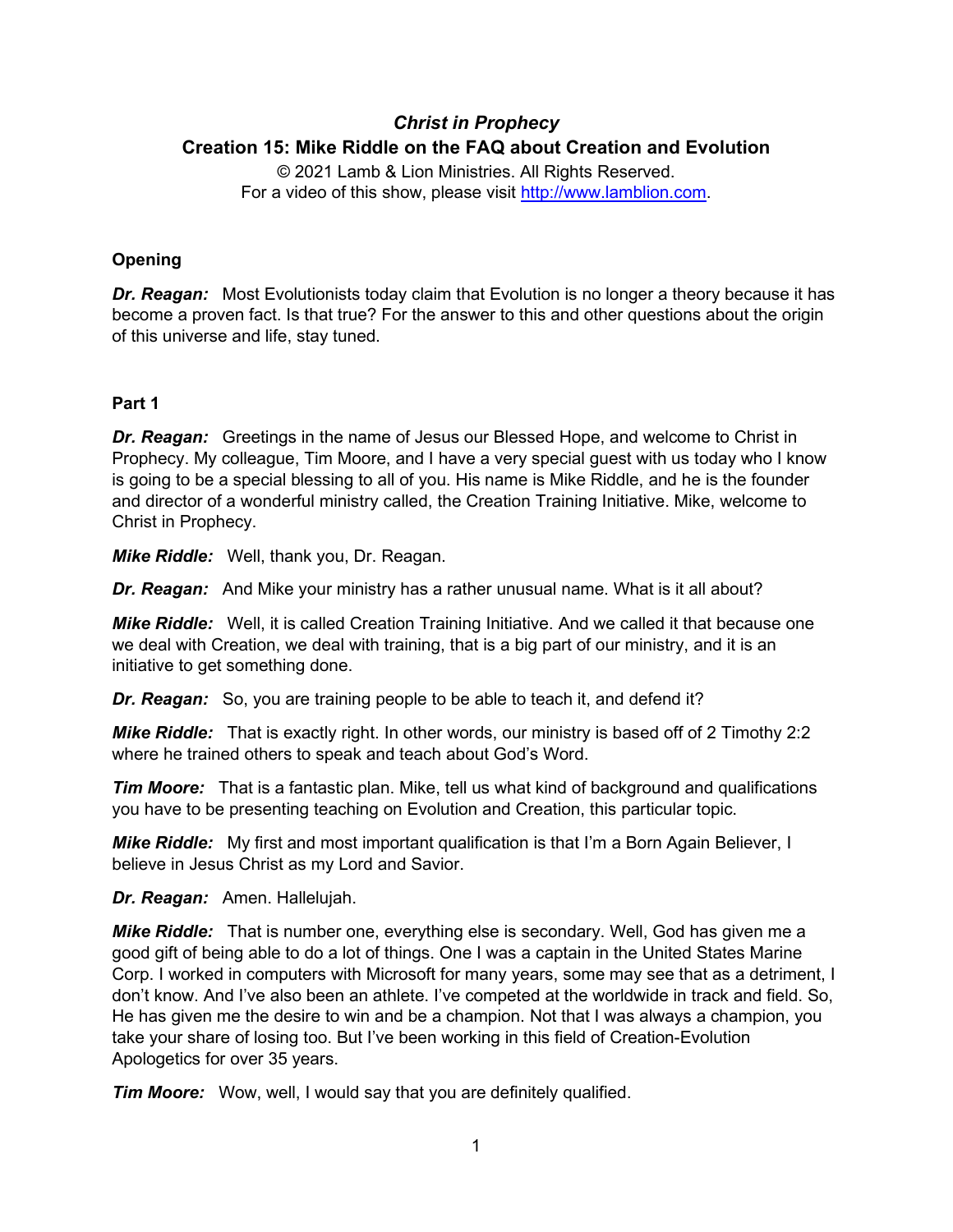# *Christ in Prophecy* **Creation 15: Mike Riddle on the FAQ about Creation and Evolution**

© 2021 Lamb & Lion Ministries. All Rights Reserved. For a video of this show, please visit [http://www.lamblion.com.](http://www.lamblion.com/)

# **Opening**

*Dr. Reagan:* Most Evolutionists today claim that Evolution is no longer a theory because it has become a proven fact. Is that true? For the answer to this and other questions about the origin of this universe and life, stay tuned.

#### **Part 1**

*Dr. Reagan:* Greetings in the name of Jesus our Blessed Hope, and welcome to Christ in Prophecy. My colleague, Tim Moore, and I have a very special guest with us today who I know is going to be a special blessing to all of you. His name is Mike Riddle, and he is the founder and director of a wonderful ministry called, the Creation Training Initiative. Mike, welcome to Christ in Prophecy.

*Mike Riddle:* Well, thank you, Dr. Reagan.

*Dr. Reagan:* And Mike your ministry has a rather unusual name. What is it all about?

*Mike Riddle:* Well, it is called Creation Training Initiative. And we called it that because one we deal with Creation, we deal with training, that is a big part of our ministry, and it is an initiative to get something done.

*Dr. Reagan:* So, you are training people to be able to teach it, and defend it?

*Mike Riddle:* That is exactly right. In other words, our ministry is based off of 2 Timothy 2:2 where he trained others to speak and teach about God's Word.

**Tim Moore:** That is a fantastic plan. Mike, tell us what kind of background and qualifications you have to be presenting teaching on Evolution and Creation, this particular topic.

**Mike Riddle:** My first and most important qualification is that I'm a Born Again Believer, I believe in Jesus Christ as my Lord and Savior.

*Dr. Reagan:* Amen. Hallelujah.

*Mike Riddle:* That is number one, everything else is secondary. Well, God has given me a good gift of being able to do a lot of things. One I was a captain in the United States Marine Corp. I worked in computers with Microsoft for many years, some may see that as a detriment, I don't know. And I've also been an athlete. I've competed at the worldwide in track and field. So, He has given me the desire to win and be a champion. Not that I was always a champion, you take your share of losing too. But I've been working in this field of Creation-Evolution Apologetics for over 35 years.

*Tim Moore:* Wow, well, I would say that you are definitely qualified.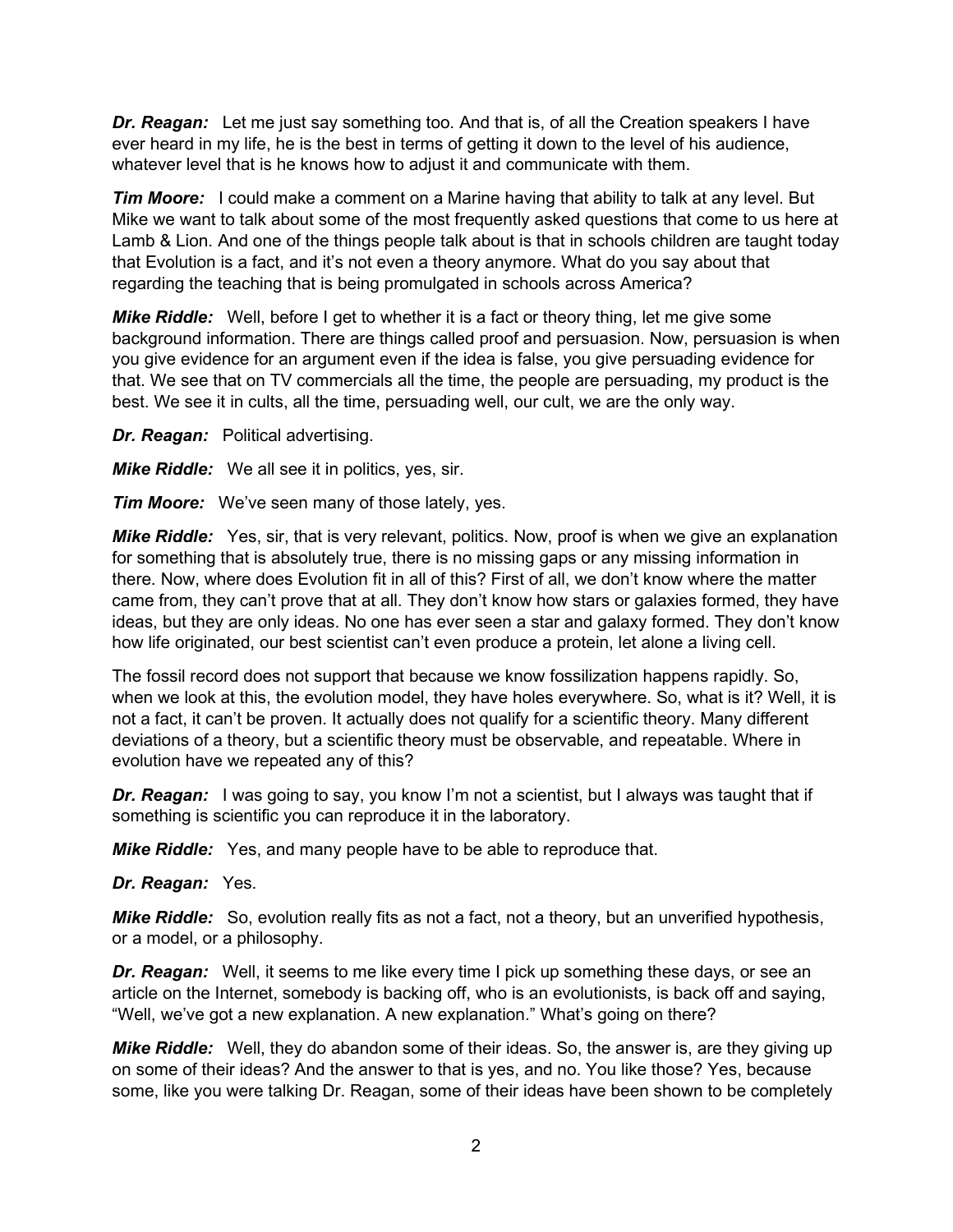*Dr. Reagan:* Let me just say something too. And that is, of all the Creation speakers I have ever heard in my life, he is the best in terms of getting it down to the level of his audience, whatever level that is he knows how to adjust it and communicate with them.

*Tim Moore:* I could make a comment on a Marine having that ability to talk at any level. But Mike we want to talk about some of the most frequently asked questions that come to us here at Lamb & Lion. And one of the things people talk about is that in schools children are taught today that Evolution is a fact, and it's not even a theory anymore. What do you say about that regarding the teaching that is being promulgated in schools across America?

*Mike Riddle:* Well, before I get to whether it is a fact or theory thing, let me give some background information. There are things called proof and persuasion. Now, persuasion is when you give evidence for an argument even if the idea is false, you give persuading evidence for that. We see that on TV commercials all the time, the people are persuading, my product is the best. We see it in cults, all the time, persuading well, our cult, we are the only way.

*Dr. Reagan:* Political advertising.

*Mike Riddle:* We all see it in politics, yes, sir.

*Tim Moore:* We've seen many of those lately, yes.

*Mike Riddle:* Yes, sir, that is very relevant, politics. Now, proof is when we give an explanation for something that is absolutely true, there is no missing gaps or any missing information in there. Now, where does Evolution fit in all of this? First of all, we don't know where the matter came from, they can't prove that at all. They don't know how stars or galaxies formed, they have ideas, but they are only ideas. No one has ever seen a star and galaxy formed. They don't know how life originated, our best scientist can't even produce a protein, let alone a living cell.

The fossil record does not support that because we know fossilization happens rapidly. So, when we look at this, the evolution model, they have holes everywhere. So, what is it? Well, it is not a fact, it can't be proven. It actually does not qualify for a scientific theory. Many different deviations of a theory, but a scientific theory must be observable, and repeatable. Where in evolution have we repeated any of this?

**Dr. Reagan:** I was going to say, you know I'm not a scientist, but I always was taught that if something is scientific you can reproduce it in the laboratory.

*Mike Riddle:* Yes, and many people have to be able to reproduce that.

*Dr. Reagan:* Yes.

*Mike Riddle:* So, evolution really fits as not a fact, not a theory, but an unverified hypothesis, or a model, or a philosophy.

*Dr. Reagan:* Well, it seems to me like every time I pick up something these days, or see an article on the Internet, somebody is backing off, who is an evolutionists, is back off and saying, "Well, we've got a new explanation. A new explanation." What's going on there?

*Mike Riddle:* Well, they do abandon some of their ideas. So, the answer is, are they giving up on some of their ideas? And the answer to that is yes, and no. You like those? Yes, because some, like you were talking Dr. Reagan, some of their ideas have been shown to be completely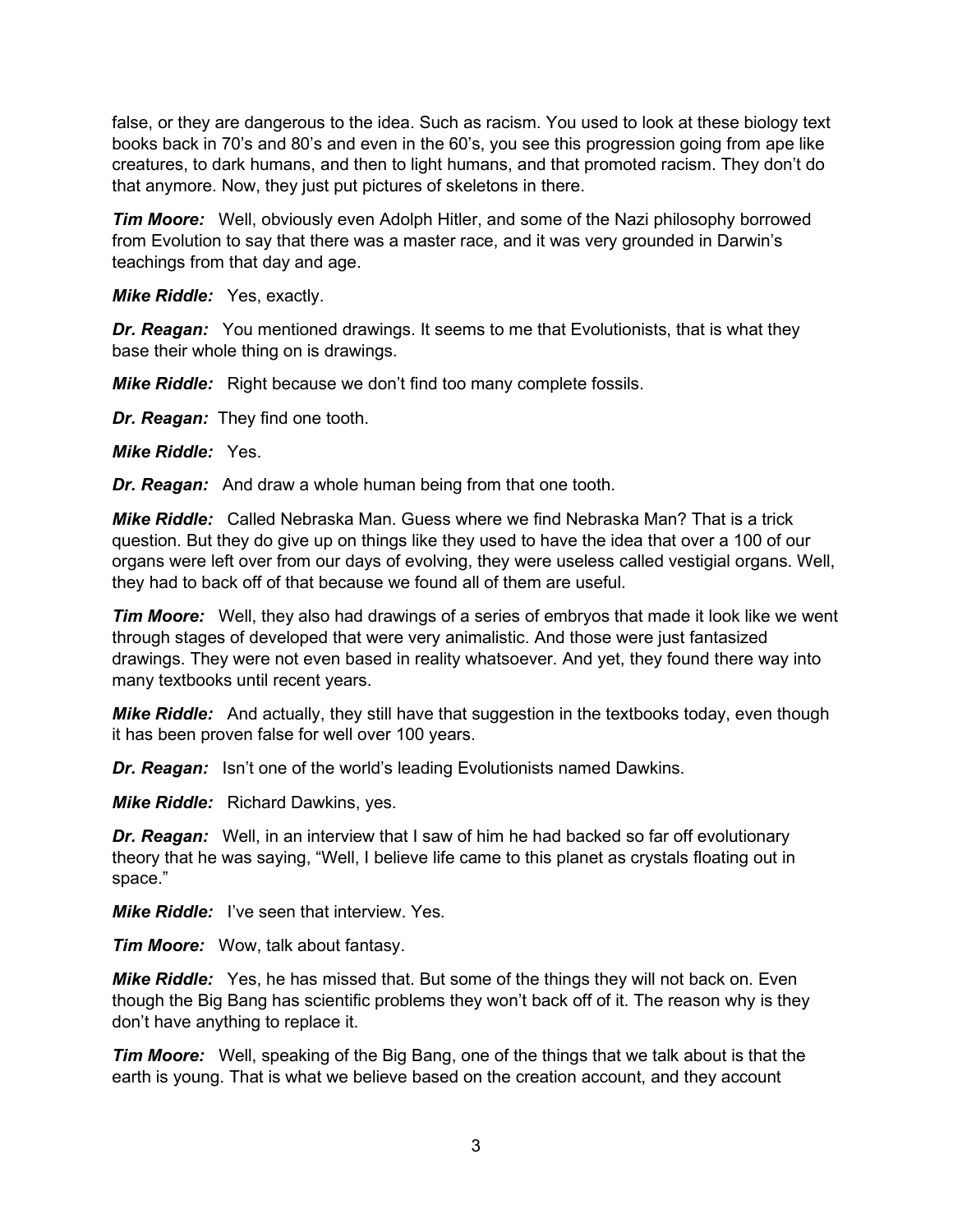false, or they are dangerous to the idea. Such as racism. You used to look at these biology text books back in 70's and 80's and even in the 60's, you see this progression going from ape like creatures, to dark humans, and then to light humans, and that promoted racism. They don't do that anymore. Now, they just put pictures of skeletons in there.

*Tim Moore:* Well, obviously even Adolph Hitler, and some of the Nazi philosophy borrowed from Evolution to say that there was a master race, and it was very grounded in Darwin's teachings from that day and age.

*Mike Riddle:* Yes, exactly.

*Dr. Reagan:* You mentioned drawings. It seems to me that Evolutionists, that is what they base their whole thing on is drawings.

*Mike Riddle:* Right because we don't find too many complete fossils.

*Dr. Reagan:* They find one tooth.

*Mike Riddle:* Yes.

*Dr. Reagan:* And draw a whole human being from that one tooth.

*Mike Riddle:* Called Nebraska Man. Guess where we find Nebraska Man? That is a trick question. But they do give up on things like they used to have the idea that over a 100 of our organs were left over from our days of evolving, they were useless called vestigial organs. Well, they had to back off of that because we found all of them are useful.

*Tim Moore:* Well, they also had drawings of a series of embryos that made it look like we went through stages of developed that were very animalistic. And those were just fantasized drawings. They were not even based in reality whatsoever. And yet, they found there way into many textbooks until recent years.

*Mike Riddle:* And actually, they still have that suggestion in the textbooks today, even though it has been proven false for well over 100 years.

*Dr. Reagan:* Isn't one of the world's leading Evolutionists named Dawkins.

*Mike Riddle:* Richard Dawkins, yes.

*Dr. Reagan:* Well, in an interview that I saw of him he had backed so far off evolutionary theory that he was saying, "Well, I believe life came to this planet as crystals floating out in space."

*Mike Riddle:* I've seen that interview. Yes.

*Tim Moore:* Wow, talk about fantasy.

*Mike Riddle:* Yes, he has missed that. But some of the things they will not back on. Even though the Big Bang has scientific problems they won't back off of it. The reason why is they don't have anything to replace it.

*Tim Moore:* Well, speaking of the Big Bang, one of the things that we talk about is that the earth is young. That is what we believe based on the creation account, and they account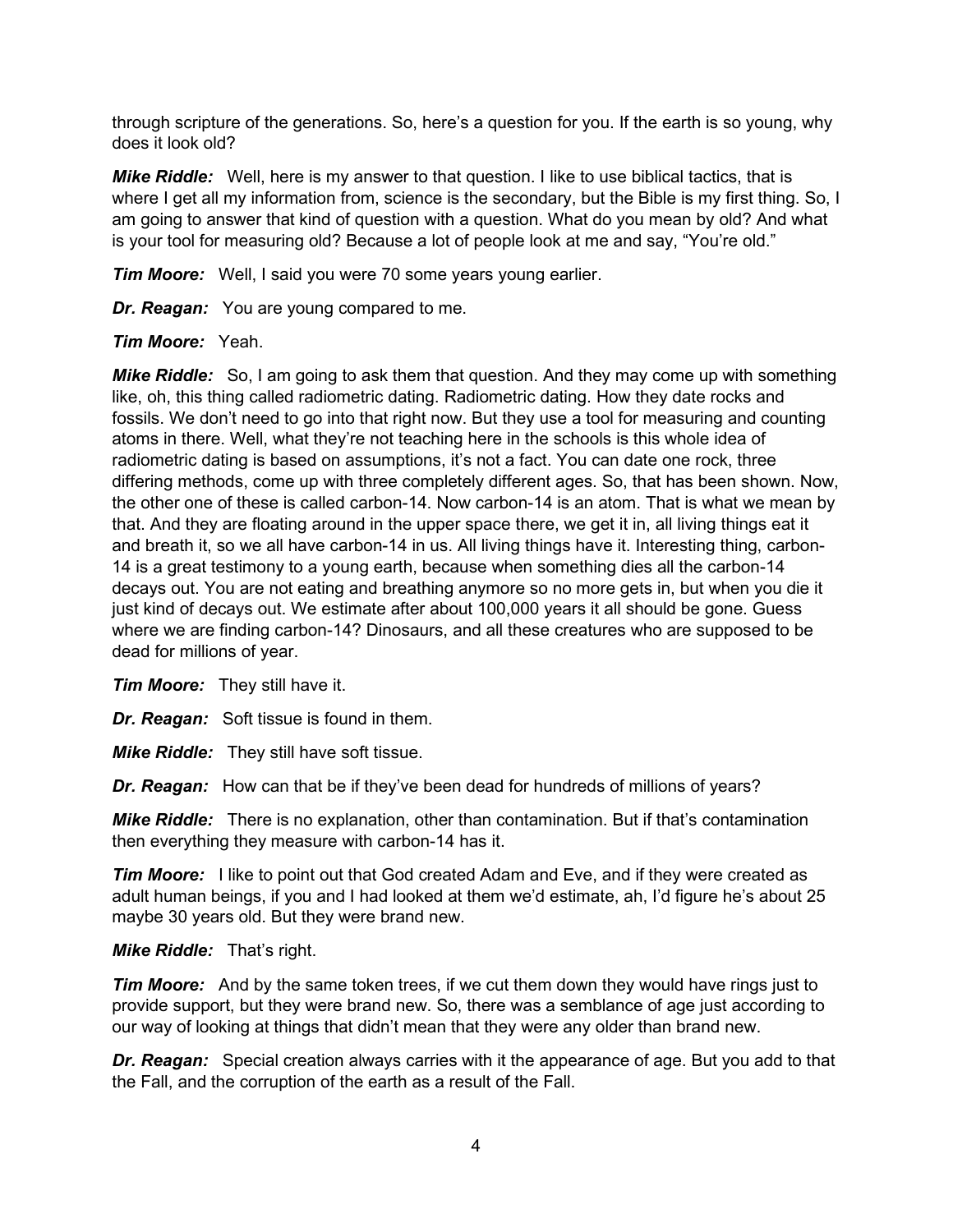through scripture of the generations. So, here's a question for you. If the earth is so young, why does it look old?

*Mike Riddle:* Well, here is my answer to that question. I like to use biblical tactics, that is where I get all my information from, science is the secondary, but the Bible is my first thing. So, I am going to answer that kind of question with a question. What do you mean by old? And what is your tool for measuring old? Because a lot of people look at me and say, "You're old."

*Tim Moore:* Well, I said you were 70 some years young earlier.

*Dr. Reagan:* You are young compared to me.

# *Tim Moore:* Yeah.

*Mike Riddle:* So, I am going to ask them that question. And they may come up with something like, oh, this thing called radiometric dating. Radiometric dating. How they date rocks and fossils. We don't need to go into that right now. But they use a tool for measuring and counting atoms in there. Well, what they're not teaching here in the schools is this whole idea of radiometric dating is based on assumptions, it's not a fact. You can date one rock, three differing methods, come up with three completely different ages. So, that has been shown. Now, the other one of these is called carbon-14. Now carbon-14 is an atom. That is what we mean by that. And they are floating around in the upper space there, we get it in, all living things eat it and breath it, so we all have carbon-14 in us. All living things have it. Interesting thing, carbon-14 is a great testimony to a young earth, because when something dies all the carbon-14 decays out. You are not eating and breathing anymore so no more gets in, but when you die it just kind of decays out. We estimate after about 100,000 years it all should be gone. Guess where we are finding carbon-14? Dinosaurs, and all these creatures who are supposed to be dead for millions of year.

*Tim Moore:* They still have it.

*Dr. Reagan:* Soft tissue is found in them.

*Mike Riddle:* They still have soft tissue.

*Dr. Reagan:* How can that be if they've been dead for hundreds of millions of years?

*Mike Riddle:* There is no explanation, other than contamination. But if that's contamination then everything they measure with carbon-14 has it.

*Tim Moore:* I like to point out that God created Adam and Eve, and if they were created as adult human beings, if you and I had looked at them we'd estimate, ah, I'd figure he's about 25 maybe 30 years old. But they were brand new.

# *Mike Riddle:* That's right.

*Tim Moore:* And by the same token trees, if we cut them down they would have rings just to provide support, but they were brand new. So, there was a semblance of age just according to our way of looking at things that didn't mean that they were any older than brand new.

*Dr. Reagan:* Special creation always carries with it the appearance of age. But you add to that the Fall, and the corruption of the earth as a result of the Fall.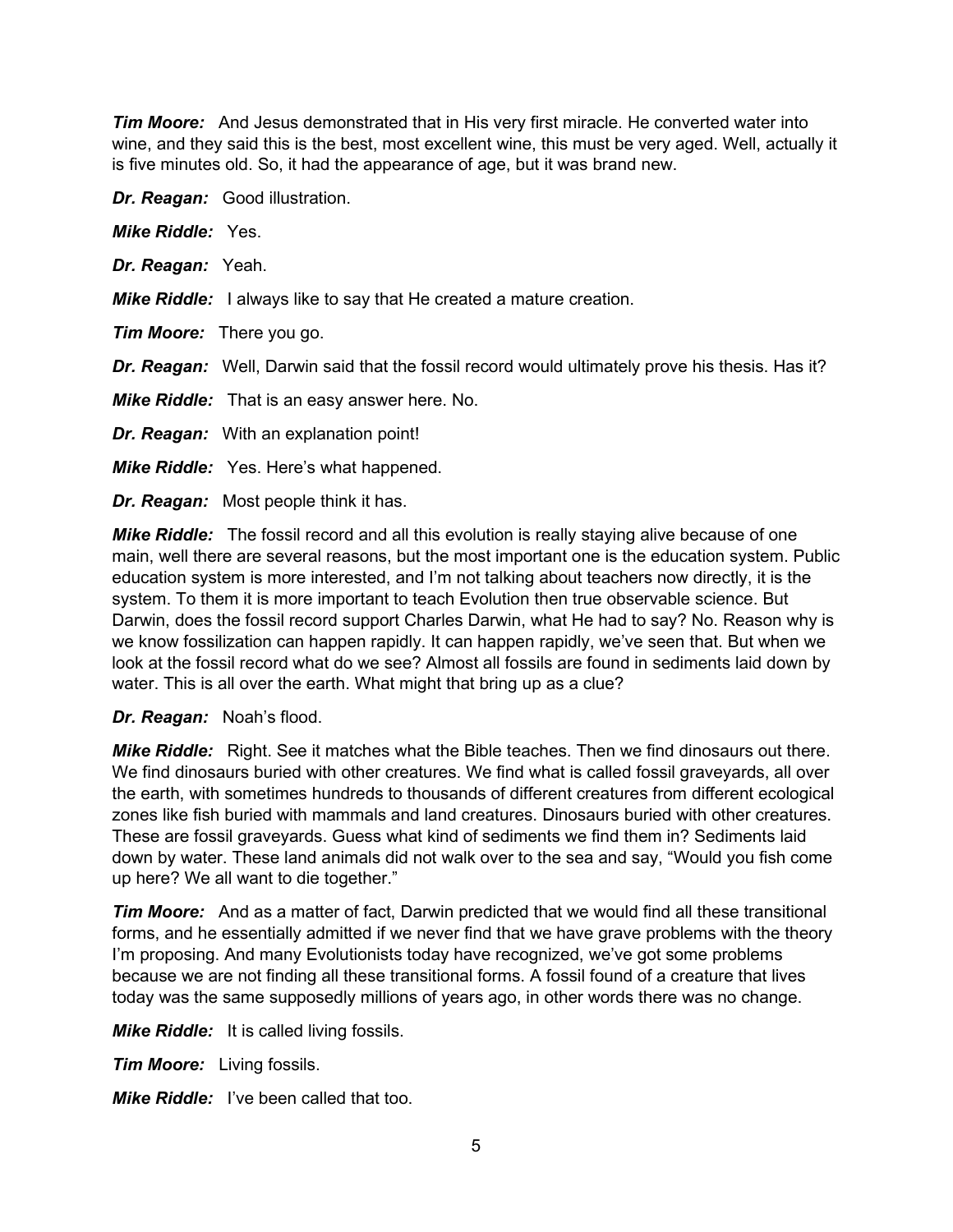*Tim Moore:* And Jesus demonstrated that in His very first miracle. He converted water into wine, and they said this is the best, most excellent wine, this must be very aged. Well, actually it is five minutes old. So, it had the appearance of age, but it was brand new.

*Dr. Reagan:* Good illustration.

| <b>Mike Riddle: Yes.</b>        |                                                                                                 |
|---------------------------------|-------------------------------------------------------------------------------------------------|
| Dr. Reagan: Yeah.               |                                                                                                 |
|                                 | <b>Mike Riddle:</b> I always like to say that He created a mature creation.                     |
| <b>Tim Moore:</b> There you go. |                                                                                                 |
|                                 | Dr. Reagan: Well, Darwin said that the fossil record would ultimately prove his thesis. Has it? |
|                                 | <b>Mike Riddle:</b> That is an easy answer here. No.                                            |
|                                 | <b>Dr. Reagan:</b> With an explanation point!                                                   |
|                                 | <b>Mike Riddle:</b> Yes. Here's what happened.                                                  |
|                                 | <b>Dr. Reagan:</b> Most people think it has.                                                    |

*Mike Riddle:* The fossil record and all this evolution is really staying alive because of one main, well there are several reasons, but the most important one is the education system. Public education system is more interested, and I'm not talking about teachers now directly, it is the system. To them it is more important to teach Evolution then true observable science. But Darwin, does the fossil record support Charles Darwin, what He had to say? No. Reason why is we know fossilization can happen rapidly. It can happen rapidly, we've seen that. But when we look at the fossil record what do we see? Almost all fossils are found in sediments laid down by water. This is all over the earth. What might that bring up as a clue?

*Dr. Reagan:* Noah's flood.

*Mike Riddle:* Right. See it matches what the Bible teaches. Then we find dinosaurs out there. We find dinosaurs buried with other creatures. We find what is called fossil graveyards, all over the earth, with sometimes hundreds to thousands of different creatures from different ecological zones like fish buried with mammals and land creatures. Dinosaurs buried with other creatures. These are fossil graveyards. Guess what kind of sediments we find them in? Sediments laid down by water. These land animals did not walk over to the sea and say, "Would you fish come up here? We all want to die together."

*Tim Moore:* And as a matter of fact, Darwin predicted that we would find all these transitional forms, and he essentially admitted if we never find that we have grave problems with the theory I'm proposing. And many Evolutionists today have recognized, we've got some problems because we are not finding all these transitional forms. A fossil found of a creature that lives today was the same supposedly millions of years ago, in other words there was no change.

*Mike Riddle:* It is called living fossils.

*Tim Moore:* Living fossils.

*Mike Riddle:* I've been called that too.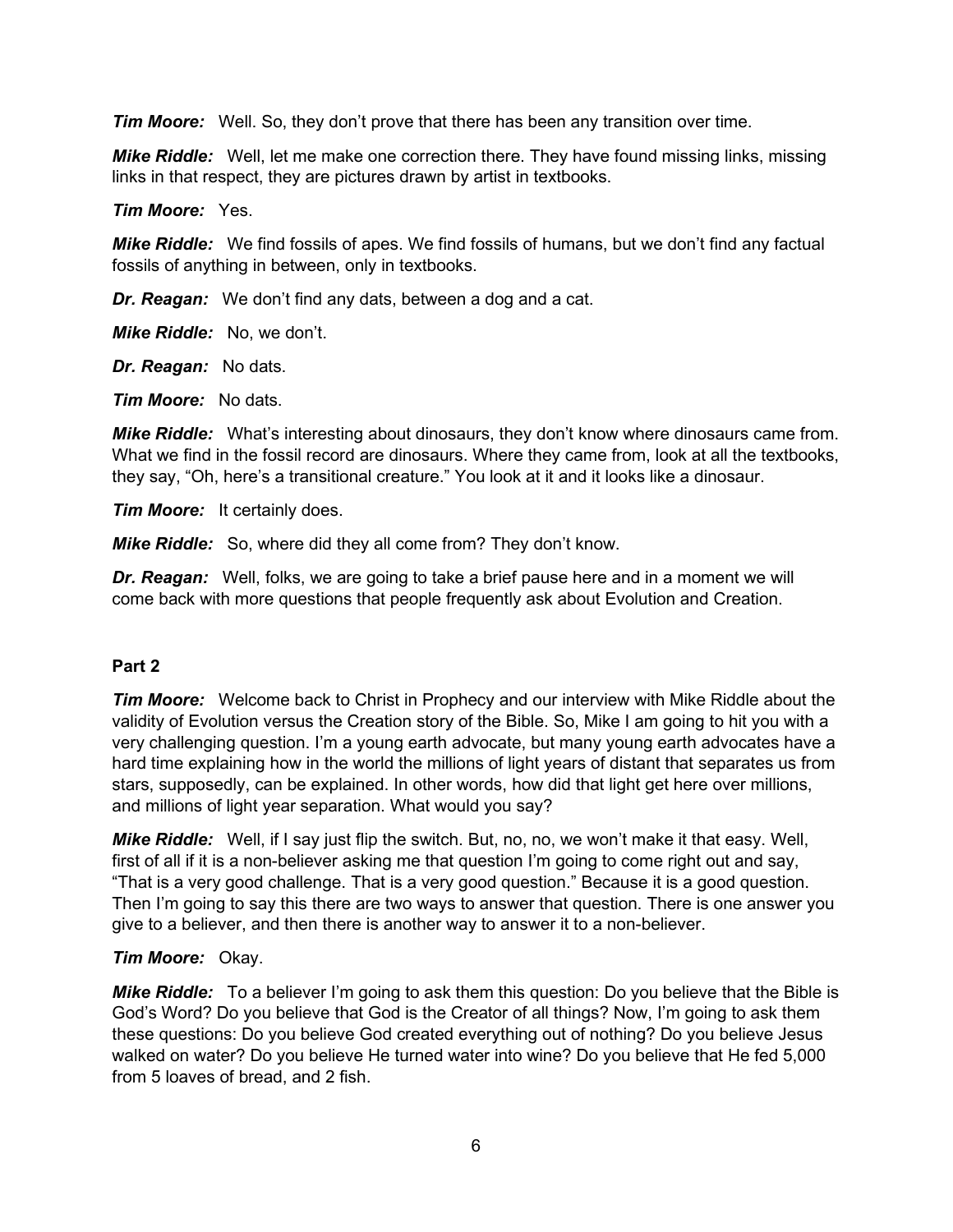*Tim Moore:* Well. So, they don't prove that there has been any transition over time.

*Mike Riddle:* Well, let me make one correction there. They have found missing links, missing links in that respect, they are pictures drawn by artist in textbooks.

*Tim Moore:* Yes.

*Mike Riddle:* We find fossils of apes. We find fossils of humans, but we don't find any factual fossils of anything in between, only in textbooks.

*Dr. Reagan:* We don't find any dats, between a dog and a cat.

*Mike Riddle:* No, we don't.

*Dr. Reagan:* No dats.

*Tim Moore:* No dats.

*Mike Riddle:* What's interesting about dinosaurs, they don't know where dinosaurs came from. What we find in the fossil record are dinosaurs. Where they came from, look at all the textbooks, they say, "Oh, here's a transitional creature." You look at it and it looks like a dinosaur.

*Tim Moore:* It certainly does.

*Mike Riddle:* So, where did they all come from? They don't know.

*Dr. Reagan:* Well, folks, we are going to take a brief pause here and in a moment we will come back with more questions that people frequently ask about Evolution and Creation.

#### **Part 2**

*Tim Moore:* Welcome back to Christ in Prophecy and our interview with Mike Riddle about the validity of Evolution versus the Creation story of the Bible. So, Mike I am going to hit you with a very challenging question. I'm a young earth advocate, but many young earth advocates have a hard time explaining how in the world the millions of light years of distant that separates us from stars, supposedly, can be explained. In other words, how did that light get here over millions, and millions of light year separation. What would you say?

*Mike Riddle:* Well, if I say just flip the switch. But, no, no, we won't make it that easy. Well, first of all if it is a non-believer asking me that question I'm going to come right out and say, "That is a very good challenge. That is a very good question." Because it is a good question. Then I'm going to say this there are two ways to answer that question. There is one answer you give to a believer, and then there is another way to answer it to a non-believer.

#### *Tim Moore:* Okay.

*Mike Riddle:* To a believer I'm going to ask them this question: Do you believe that the Bible is God's Word? Do you believe that God is the Creator of all things? Now, I'm going to ask them these questions: Do you believe God created everything out of nothing? Do you believe Jesus walked on water? Do you believe He turned water into wine? Do you believe that He fed 5,000 from 5 loaves of bread, and 2 fish.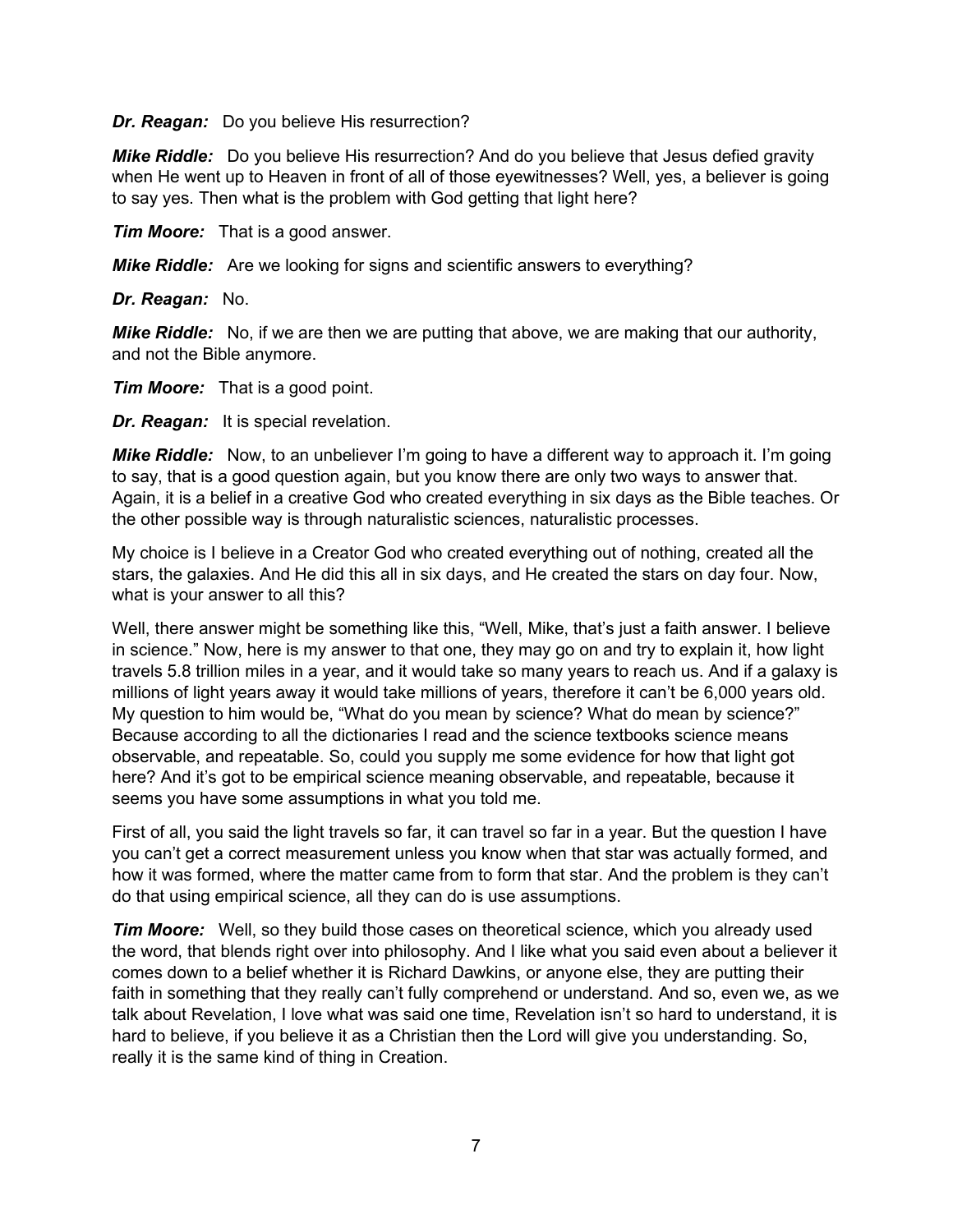*Dr. Reagan:* Do you believe His resurrection?

*Mike Riddle:* Do you believe His resurrection? And do you believe that Jesus defied gravity when He went up to Heaven in front of all of those eyewitnesses? Well, yes, a believer is going to say yes. Then what is the problem with God getting that light here?

*Tim Moore:* That is a good answer.

*Mike Riddle:* Are we looking for signs and scientific answers to everything?

*Dr. Reagan:* No.

*Mike Riddle:* No, if we are then we are putting that above, we are making that our authority, and not the Bible anymore.

*Tim Moore:* That is a good point.

*Dr. Reagan:* It is special revelation.

*Mike Riddle:* Now, to an unbeliever I'm going to have a different way to approach it. I'm going to say, that is a good question again, but you know there are only two ways to answer that. Again, it is a belief in a creative God who created everything in six days as the Bible teaches. Or the other possible way is through naturalistic sciences, naturalistic processes.

My choice is I believe in a Creator God who created everything out of nothing, created all the stars, the galaxies. And He did this all in six days, and He created the stars on day four. Now, what is your answer to all this?

Well, there answer might be something like this, "Well, Mike, that's just a faith answer. I believe in science." Now, here is my answer to that one, they may go on and try to explain it, how light travels 5.8 trillion miles in a year, and it would take so many years to reach us. And if a galaxy is millions of light years away it would take millions of years, therefore it can't be 6,000 years old. My question to him would be, "What do you mean by science? What do mean by science?" Because according to all the dictionaries I read and the science textbooks science means observable, and repeatable. So, could you supply me some evidence for how that light got here? And it's got to be empirical science meaning observable, and repeatable, because it seems you have some assumptions in what you told me.

First of all, you said the light travels so far, it can travel so far in a year. But the question I have you can't get a correct measurement unless you know when that star was actually formed, and how it was formed, where the matter came from to form that star. And the problem is they can't do that using empirical science, all they can do is use assumptions.

*Tim Moore:* Well, so they build those cases on theoretical science, which you already used the word, that blends right over into philosophy. And I like what you said even about a believer it comes down to a belief whether it is Richard Dawkins, or anyone else, they are putting their faith in something that they really can't fully comprehend or understand. And so, even we, as we talk about Revelation, I love what was said one time, Revelation isn't so hard to understand, it is hard to believe, if you believe it as a Christian then the Lord will give you understanding. So, really it is the same kind of thing in Creation.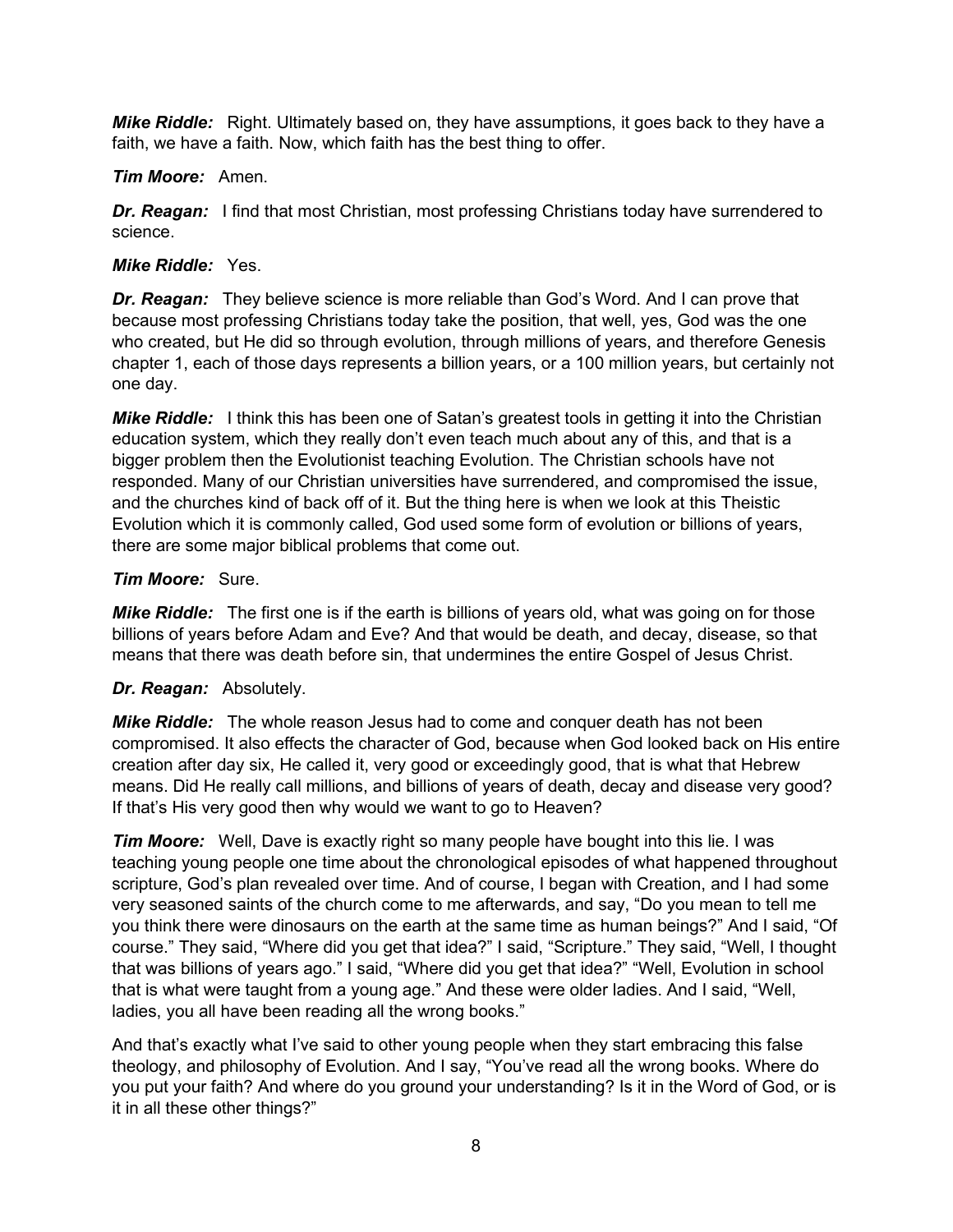*Mike Riddle:* Right. Ultimately based on, they have assumptions, it goes back to they have a faith, we have a faith. Now, which faith has the best thing to offer.

#### *Tim Moore:* Amen.

**Dr. Reagan:** I find that most Christian, most professing Christians today have surrendered to science.

#### *Mike Riddle:* Yes.

*Dr. Reagan:* They believe science is more reliable than God's Word. And I can prove that because most professing Christians today take the position, that well, yes, God was the one who created, but He did so through evolution, through millions of years, and therefore Genesis chapter 1, each of those days represents a billion years, or a 100 million years, but certainly not one day.

*Mike Riddle:* I think this has been one of Satan's greatest tools in getting it into the Christian education system, which they really don't even teach much about any of this, and that is a bigger problem then the Evolutionist teaching Evolution. The Christian schools have not responded. Many of our Christian universities have surrendered, and compromised the issue, and the churches kind of back off of it. But the thing here is when we look at this Theistic Evolution which it is commonly called, God used some form of evolution or billions of years, there are some major biblical problems that come out.

#### *Tim Moore:* Sure.

*Mike Riddle:* The first one is if the earth is billions of years old, what was going on for those billions of years before Adam and Eve? And that would be death, and decay, disease, so that means that there was death before sin, that undermines the entire Gospel of Jesus Christ.

# *Dr. Reagan:* Absolutely.

*Mike Riddle:* The whole reason Jesus had to come and conquer death has not been compromised. It also effects the character of God, because when God looked back on His entire creation after day six, He called it, very good or exceedingly good, that is what that Hebrew means. Did He really call millions, and billions of years of death, decay and disease very good? If that's His very good then why would we want to go to Heaven?

*Tim Moore:* Well, Dave is exactly right so many people have bought into this lie. I was teaching young people one time about the chronological episodes of what happened throughout scripture, God's plan revealed over time. And of course, I began with Creation, and I had some very seasoned saints of the church come to me afterwards, and say, "Do you mean to tell me you think there were dinosaurs on the earth at the same time as human beings?" And I said, "Of course." They said, "Where did you get that idea?" I said, "Scripture." They said, "Well, I thought that was billions of years ago." I said, "Where did you get that idea?" "Well, Evolution in school that is what were taught from a young age." And these were older ladies. And I said, "Well, ladies, you all have been reading all the wrong books."

And that's exactly what I've said to other young people when they start embracing this false theology, and philosophy of Evolution. And I say, "You've read all the wrong books. Where do you put your faith? And where do you ground your understanding? Is it in the Word of God, or is it in all these other things?"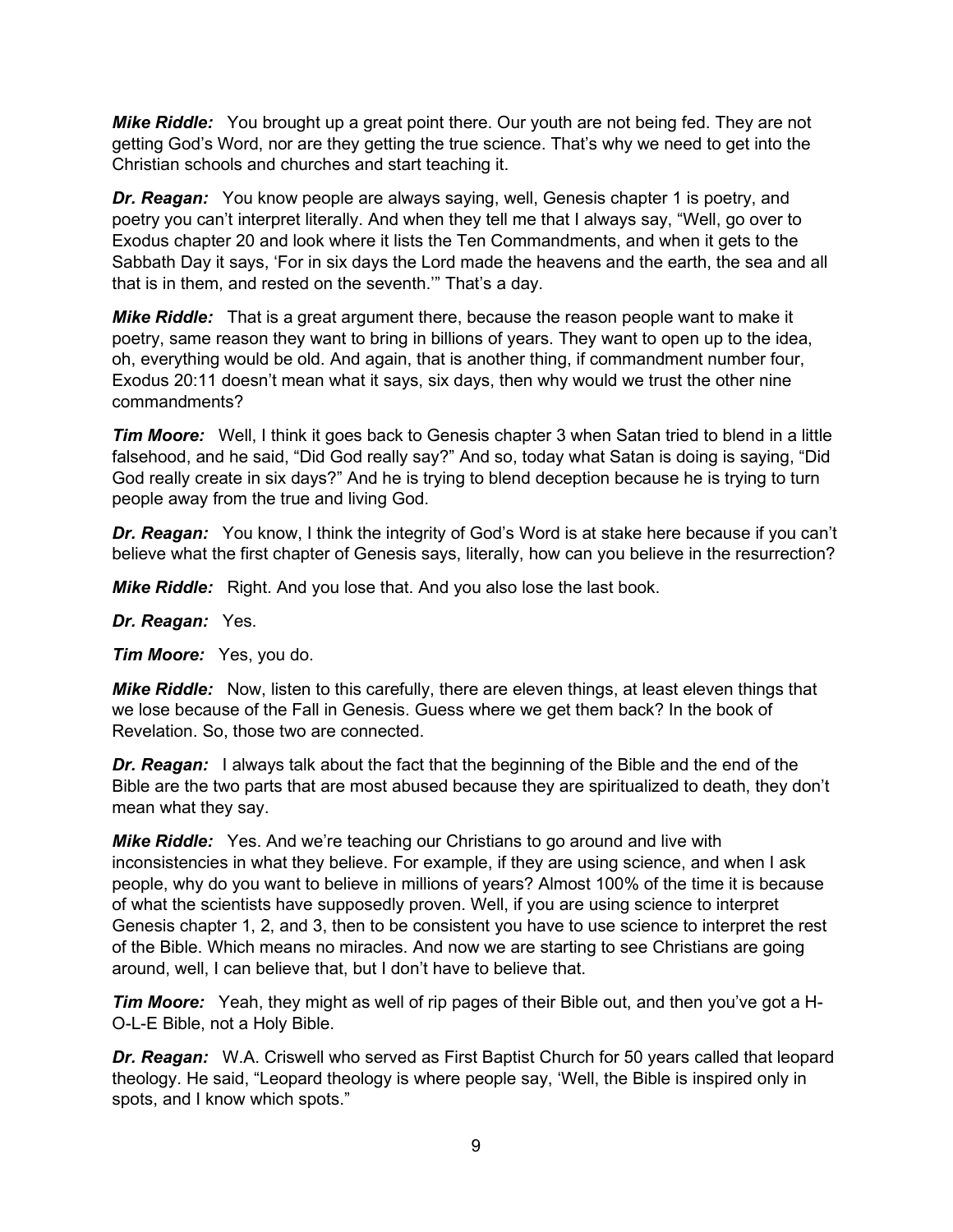*Mike Riddle:* You brought up a great point there. Our youth are not being fed. They are not getting God's Word, nor are they getting the true science. That's why we need to get into the Christian schools and churches and start teaching it.

*Dr. Reagan:* You know people are always saying, well, Genesis chapter 1 is poetry, and poetry you can't interpret literally. And when they tell me that I always say, "Well, go over to Exodus chapter 20 and look where it lists the Ten Commandments, and when it gets to the Sabbath Day it says, 'For in six days the Lord made the heavens and the earth, the sea and all that is in them, and rested on the seventh.'" That's a day.

*Mike Riddle:* That is a great argument there, because the reason people want to make it poetry, same reason they want to bring in billions of years. They want to open up to the idea, oh, everything would be old. And again, that is another thing, if commandment number four, Exodus 20:11 doesn't mean what it says, six days, then why would we trust the other nine commandments?

**Tim Moore:** Well, I think it goes back to Genesis chapter 3 when Satan tried to blend in a little falsehood, and he said, "Did God really say?" And so, today what Satan is doing is saying, "Did God really create in six days?" And he is trying to blend deception because he is trying to turn people away from the true and living God.

*Dr. Reagan:* You know, I think the integrity of God's Word is at stake here because if you can't believe what the first chapter of Genesis says, literally, how can you believe in the resurrection?

*Mike Riddle:* Right. And you lose that. And you also lose the last book.

*Dr. Reagan:* Yes.

*Tim Moore:* Yes, you do.

*Mike Riddle:* Now, listen to this carefully, there are eleven things, at least eleven things that we lose because of the Fall in Genesis. Guess where we get them back? In the book of Revelation. So, those two are connected.

**Dr. Reagan:** I always talk about the fact that the beginning of the Bible and the end of the Bible are the two parts that are most abused because they are spiritualized to death, they don't mean what they say.

*Mike Riddle:* Yes. And we're teaching our Christians to go around and live with inconsistencies in what they believe. For example, if they are using science, and when I ask people, why do you want to believe in millions of years? Almost 100% of the time it is because of what the scientists have supposedly proven. Well, if you are using science to interpret Genesis chapter 1, 2, and 3, then to be consistent you have to use science to interpret the rest of the Bible. Which means no miracles. And now we are starting to see Christians are going around, well, I can believe that, but I don't have to believe that.

*Tim Moore:* Yeah, they might as well of rip pages of their Bible out, and then you've got a H-O-L-E Bible, not a Holy Bible.

*Dr. Reagan:* W.A. Criswell who served as First Baptist Church for 50 years called that leopard theology. He said, "Leopard theology is where people say, 'Well, the Bible is inspired only in spots, and I know which spots."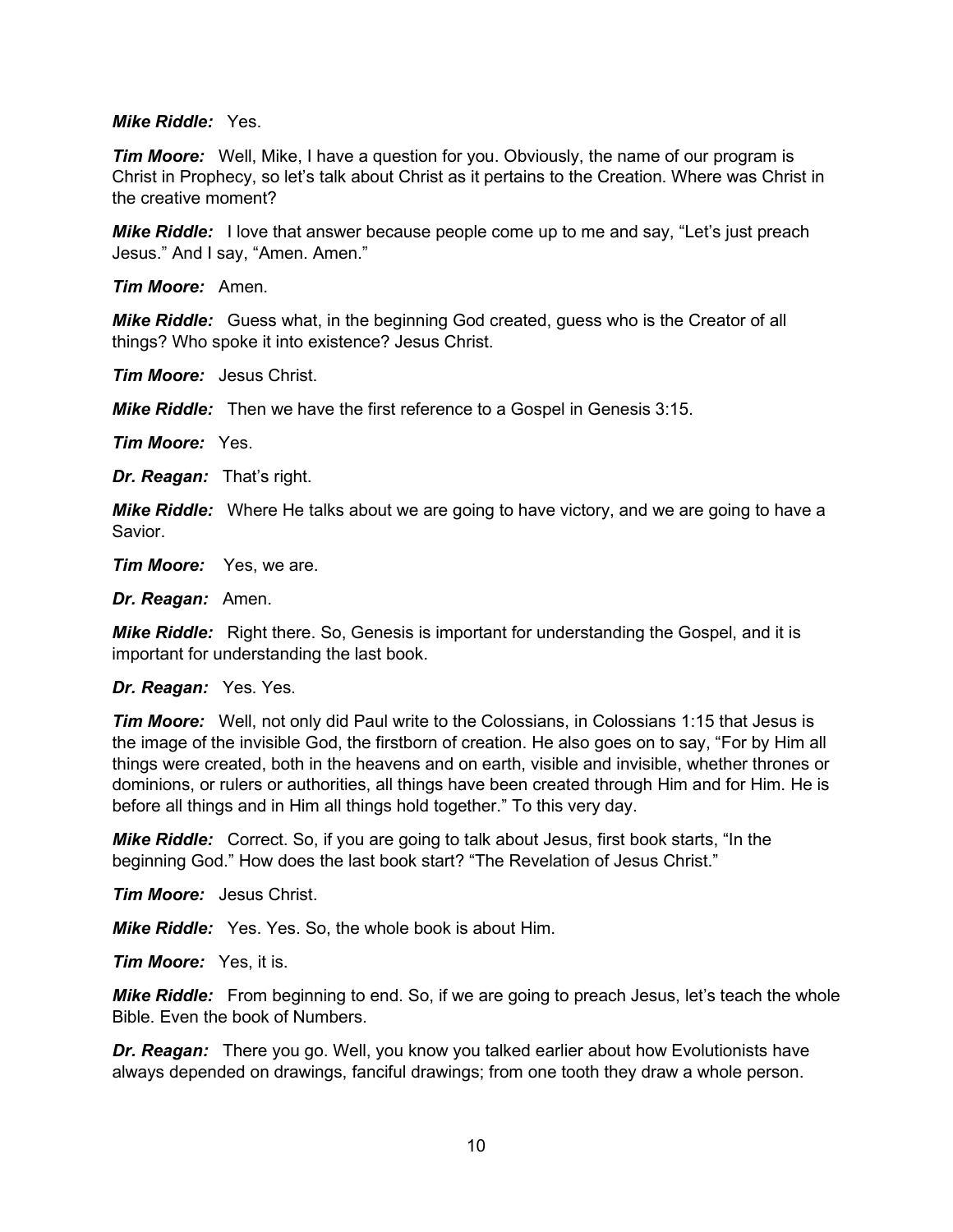#### *Mike Riddle:* Yes.

**Tim Moore:** Well, Mike, I have a question for you. Obviously, the name of our program is Christ in Prophecy, so let's talk about Christ as it pertains to the Creation. Where was Christ in the creative moment?

*Mike Riddle:* I love that answer because people come up to me and say, "Let's just preach Jesus." And I say, "Amen. Amen."

*Tim Moore:* Amen.

*Mike Riddle:* Guess what, in the beginning God created, guess who is the Creator of all things? Who spoke it into existence? Jesus Christ.

*Tim Moore:* Jesus Christ.

*Mike Riddle:* Then we have the first reference to a Gospel in Genesis 3:15.

*Tim Moore:* Yes.

*Dr. Reagan:* That's right.

*Mike Riddle:* Where He talks about we are going to have victory, and we are going to have a Savior.

*Tim Moore:* Yes, we are.

*Dr. Reagan:* Amen.

*Mike Riddle:* Right there. So, Genesis is important for understanding the Gospel, and it is important for understanding the last book.

#### *Dr. Reagan:* Yes. Yes.

*Tim Moore:* Well, not only did Paul write to the Colossians, in Colossians 1:15 that Jesus is the image of the invisible God, the firstborn of creation. He also goes on to say, "For by Him all things were created, both in the heavens and on earth, visible and invisible, whether thrones or dominions, or rulers or authorities, all things have been created through Him and for Him. He is before all things and in Him all things hold together." To this very day.

*Mike Riddle:* Correct. So, if you are going to talk about Jesus, first book starts, "In the beginning God." How does the last book start? "The Revelation of Jesus Christ."

*Tim Moore:* Jesus Christ.

*Mike Riddle:* Yes. Yes. So, the whole book is about Him.

*Tim Moore:* Yes, it is.

*Mike Riddle:* From beginning to end. So, if we are going to preach Jesus, let's teach the whole Bible. Even the book of Numbers.

*Dr. Reagan:* There you go. Well, you know you talked earlier about how Evolutionists have always depended on drawings, fanciful drawings; from one tooth they draw a whole person.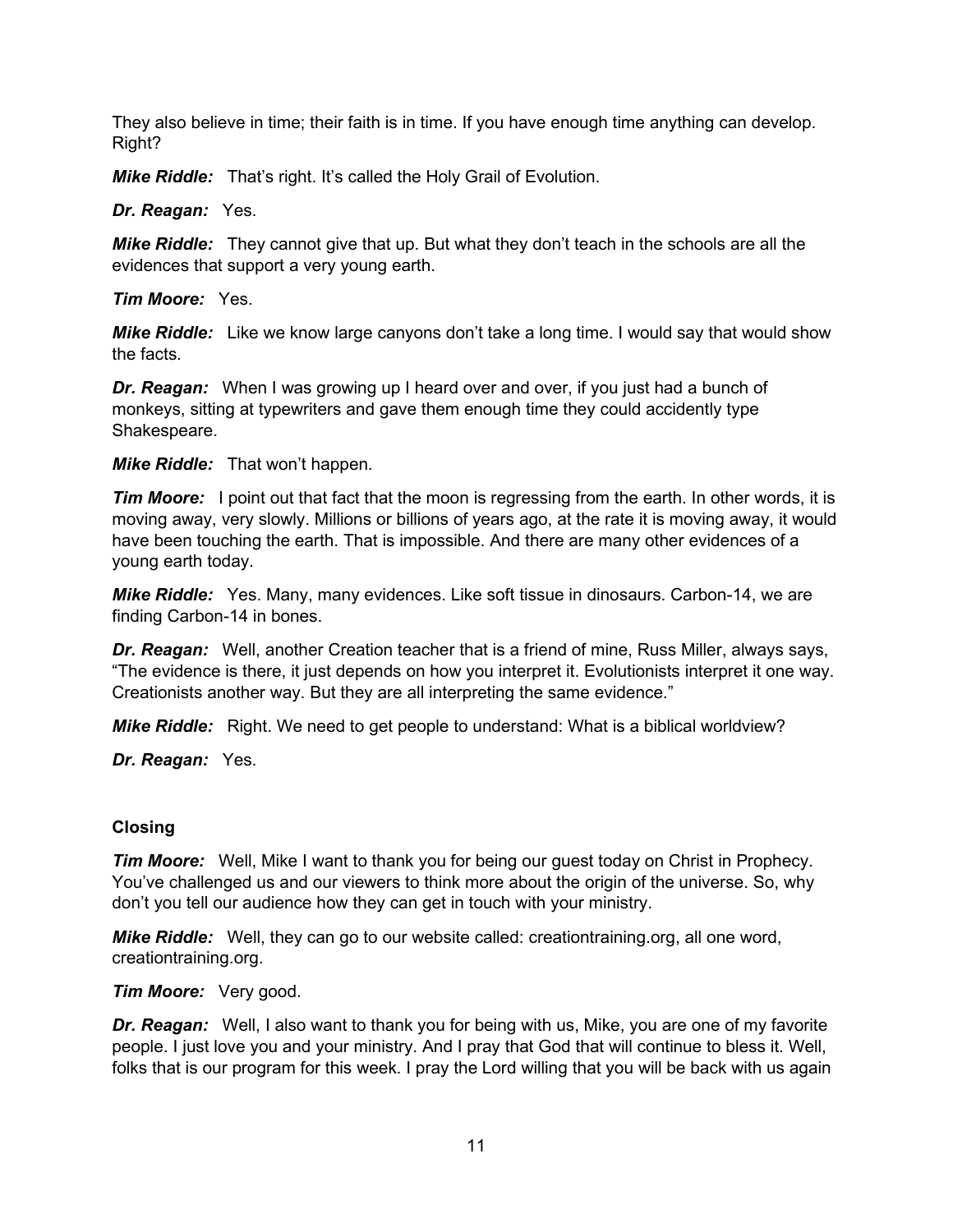They also believe in time; their faith is in time. If you have enough time anything can develop. Right?

*Mike Riddle:* That's right. It's called the Holy Grail of Evolution.

*Dr. Reagan:* Yes.

*Mike Riddle:* They cannot give that up. But what they don't teach in the schools are all the evidences that support a very young earth.

*Tim Moore:* Yes.

*Mike Riddle:* Like we know large canyons don't take a long time. I would say that would show the facts.

*Dr. Reagan:* When I was growing up I heard over and over, if you just had a bunch of monkeys, sitting at typewriters and gave them enough time they could accidently type Shakespeare.

*Mike Riddle:* That won't happen.

*Tim Moore:* I point out that fact that the moon is regressing from the earth. In other words, it is moving away, very slowly. Millions or billions of years ago, at the rate it is moving away, it would have been touching the earth. That is impossible. And there are many other evidences of a young earth today.

*Mike Riddle:* Yes. Many, many evidences. Like soft tissue in dinosaurs. Carbon-14, we are finding Carbon-14 in bones.

*Dr. Reagan:* Well, another Creation teacher that is a friend of mine, Russ Miller, always says, "The evidence is there, it just depends on how you interpret it. Evolutionists interpret it one way. Creationists another way. But they are all interpreting the same evidence."

*Mike Riddle:* Right. We need to get people to understand: What is a biblical worldview?

*Dr. Reagan:* Yes.

# **Closing**

*Tim Moore:* Well, Mike I want to thank you for being our guest today on Christ in Prophecy. You've challenged us and our viewers to think more about the origin of the universe. So, why don't you tell our audience how they can get in touch with your ministry.

*Mike Riddle:* Well, they can go to our website called: creationtraining.org, all one word, creationtraining.org.

*Tim Moore:* Very good.

*Dr. Reagan:* Well, I also want to thank you for being with us, Mike, you are one of my favorite people. I just love you and your ministry. And I pray that God that will continue to bless it. Well, folks that is our program for this week. I pray the Lord willing that you will be back with us again